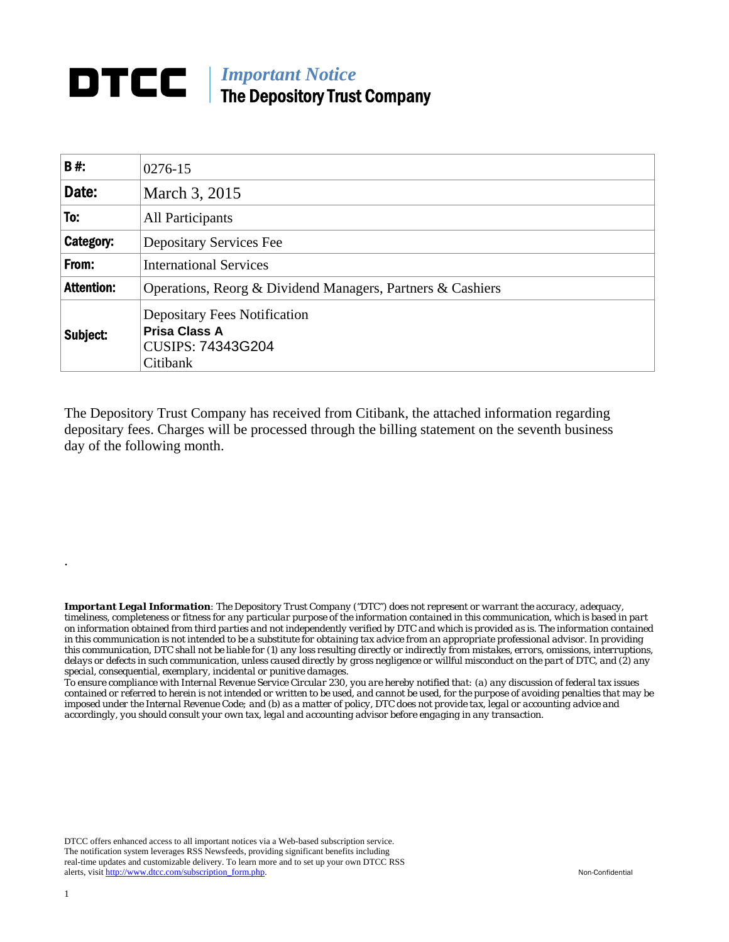## *Important Notice*  The Depository Trust Company

| B#:               | 0276-15                                                                                      |  |  |  |
|-------------------|----------------------------------------------------------------------------------------------|--|--|--|
| Date:             | March 3, 2015                                                                                |  |  |  |
| To:               | All Participants                                                                             |  |  |  |
| Category:         | <b>Depositary Services Fee</b>                                                               |  |  |  |
| From:             | <b>International Services</b>                                                                |  |  |  |
| <b>Attention:</b> | Operations, Reorg & Dividend Managers, Partners & Cashiers                                   |  |  |  |
| Subject:          | <b>Depositary Fees Notification</b><br><b>Prisa Class A</b><br>CUSIPS: 74343G204<br>Citibank |  |  |  |

The Depository Trust Company has received from Citibank, the attached information regarding depositary fees. Charges will be processed through the billing statement on the seventh business day of the following month.

*Important Legal Information: The Depository Trust Company ("DTC") does not represent or warrant the accuracy, adequacy, timeliness, completeness or fitness for any particular purpose of the information contained in this communication, which is based in part on information obtained from third parties and not independently verified by DTC and which is provided as is. The information contained in this communication is not intended to be a substitute for obtaining tax advice from an appropriate professional advisor. In providing this communication, DTC shall not be liable for (1) any loss resulting directly or indirectly from mistakes, errors, omissions, interruptions, delays or defects in such communication, unless caused directly by gross negligence or willful misconduct on the part of DTC, and (2) any special, consequential, exemplary, incidental or punitive damages.* 

*To ensure compliance with Internal Revenue Service Circular 230, you are hereby notified that: (a) any discussion of federal tax issues contained or referred to herein is not intended or written to be used, and cannot be used, for the purpose of avoiding penalties that may be imposed under the Internal Revenue Code; and (b) as a matter of policy, DTC does not provide tax, legal or accounting advice and accordingly, you should consult your own tax, legal and accounting advisor before engaging in any transaction.*

DTCC offers enhanced access to all important notices via a Web-based subscription service. The notification system leverages RSS Newsfeeds, providing significant benefits including real-time updates and customizable delivery. To learn more and to set up your own DTCC RSS alerts, visit http://www.dtcc.com/subscription\_form.php. Non-Confidential

.